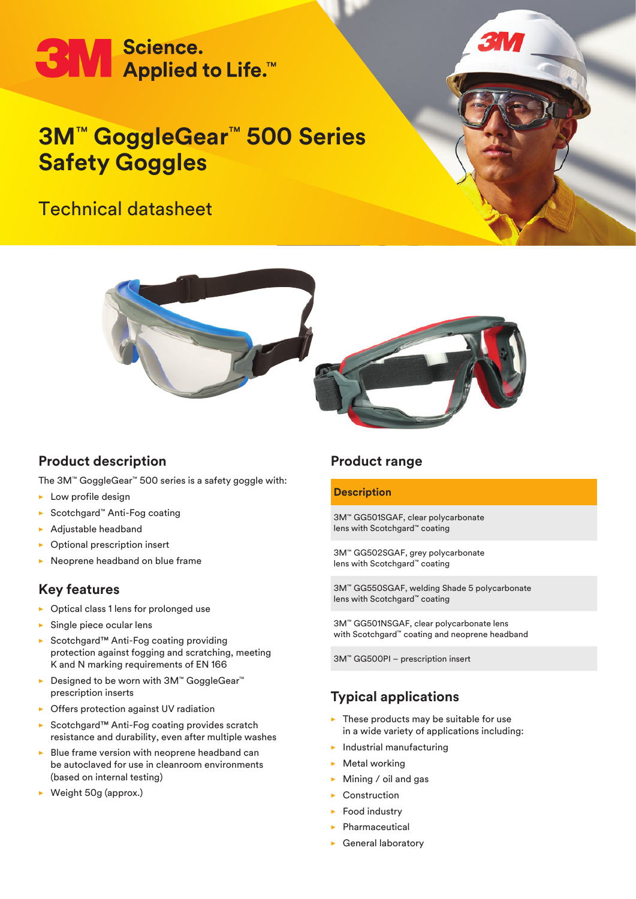# **3M** Science.<br> **3M** Applied to Life.™

## **3M**™ **GoggleGear**™ **500 Series Safety Goggles**

### Technical datasheet





#### **Product description**

The 3M™ GoggleGear™ 500 series is a safety goggle with:

- $\blacktriangleright$  Low profile design
- ▶ Scotchgard™ Anti-Fog coating
- $\blacktriangleright$  Adjustable headband
- Optional prescription insert
- Neoprene headband on blue frame

#### **Key features**

- $\triangleright$  Optical class 1 lens for prolonged use
- $\blacktriangleright$  Single piece ocular lens
- ► Scotchgard™ Anti-Fog coating providing protection against fogging and scratching, meeting K and N marking requirements of EN 166
- ▶ Designed to be worn with 3M™ GoggleGear™ prescription inserts
- $\triangleright$  Offers protection against UV radiation
- ▶ Scotchgard™ Anti-Fog coating provides scratch resistance and durability, even after multiple washes
- $\triangleright$  Blue frame version with neoprene headband can be autoclaved for use in cleanroom environments (based on internal testing)
- $\triangleright$  Weight 50g (approx.)

#### **Product range**

#### **Description**

3M™ GG501SGAF, clear polycarbonate lens with Scotchgard™ coating

3M™ GG502SGAF, grey polycarbonate lens with Scotchgard™ coating

3M™ GG550SGAF, welding Shade 5 polycarbonate lens with Scotchgard™ coating

3M™ GG501NSGAF, clear polycarbonate lens with Scotchgard™ coating and neoprene headband

3M™ GG500PI – prescription insert

#### **Typical applications**

- $\blacktriangleright$  These products may be suitable for use in a wide variety of applications including:
- $\blacktriangleright$  Industrial manufacturing
- $\blacktriangleright$  Metal working
- $\blacktriangleright$  Mining / oil and gas
- $\blacktriangleright$  Construction
- $\blacktriangleright$  Food industry
- $\blacktriangleright$  Pharmaceutical
- $\blacktriangleright$  General laboratory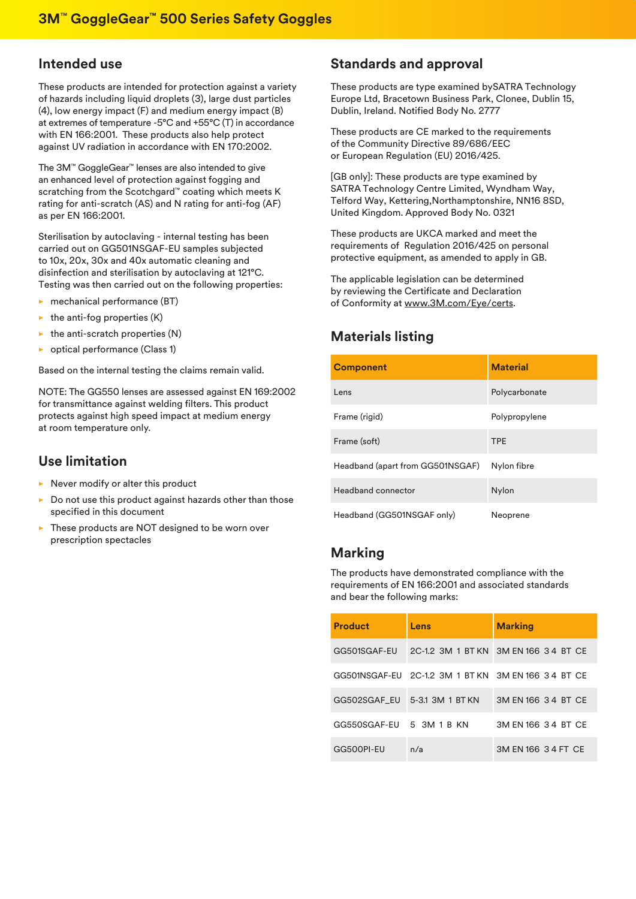#### **Intended use**

These products are intended for protection against a variety of hazards including liquid droplets (3), large dust particles (4), low energy impact (F) and medium energy impact (B) at extremes of temperature -5°C and +55°C (T) in accordance with EN 166:2001. These products also help protect against UV radiation in accordance with EN 170:2002.

The 3M™ GoggleGear™ lenses are also intended to give an enhanced level of protection against fogging and scratching from the Scotchgard™ coating which meets K rating for anti-scratch (AS) and N rating for anti-fog (AF) as per EN 166:2001.

Sterilisation by autoclaving - internal testing has been carried out on GG501NSGAF-EU samples subjected to 10x, 20x, 30x and 40x automatic cleaning and disinfection and sterilisation by autoclaving at 121°C. Testing was then carried out on the following properties:

- $\blacktriangleright$  mechanical performance (BT)
- $\blacktriangleright$  the anti-fog properties (K)
- $\triangleright$  the anti-scratch properties (N)
- $\triangleright$  optical performance (Class 1)

Based on the internal testing the claims remain valid.

NOTE: The GG550 lenses are assessed against EN 169:2002 for transmittance against welding filters. This product protects against high speed impact at medium energy at room temperature only.

#### **Use limitation**

- $\blacktriangleright$  Never modify or alter this product
- $\triangleright$  Do not use this product against hazards other than those specified in this document
- $\triangleright$  These products are NOT designed to be worn over prescription spectacles

#### **Standards and approval**

These products are type examined bySATRA Technology Europe Ltd, Bracetown Business Park, Clonee, Dublin 15, Dublin, Ireland. Notified Body No. 2777

These products are CE marked to the requirements of the Community Directive 89/686/EEC or European Regulation (EU) 2016/425.

[GB only]: These products are type examined by SATRA Technology Centre Limited, Wyndham Way, Telford Way, Kettering,Northamptonshire, NN16 8SD, United Kingdom. Approved Body No. 0321

These products are UKCA marked and meet the requirements of Regulation 2016/425 on personal protective equipment, as amended to apply in GB.

The applicable legislation can be determined by reviewing the Certificate and Declaration of Conformity at www.3M.com/Eye/certs.

#### **Materials listing**

| <b>Component</b>                 | <b>Material</b> |
|----------------------------------|-----------------|
| Lens                             | Polycarbonate   |
| Frame (rigid)                    | Polypropylene   |
| Frame (soft)                     | <b>TPE</b>      |
| Headband (apart from GG501NSGAF) | Nylon fibre     |
| Headband connector               | <b>Nylon</b>    |
| Headband (GG501NSGAF only)       | Neoprene        |

#### **Marking**

The products have demonstrated compliance with the requirements of EN 166:2001 and associated standards and bear the following marks:

| <b>Product</b> | Lens                          | <b>Marking</b>                                      |
|----------------|-------------------------------|-----------------------------------------------------|
| GG501SGAF-EU   |                               | 2C-1.2 3M 1 BT KN 3M EN 166 34 BT CE                |
|                |                               | GG501NSGAF-EU 2C-1.2 3M 1 BT KN 3M EN 166 3 4 BT CE |
|                | GG502SGAF EU 5-3.1 3M 1 BT KN | 3M EN 166 3 4 BT CE                                 |
| GG550SGAF-EU   | 5 3M 1 B KN                   | 3M EN 166 3 4 BT CE                                 |
| GG500PI-EU     | n/a                           | 3M EN 166 3 4 FT CE                                 |